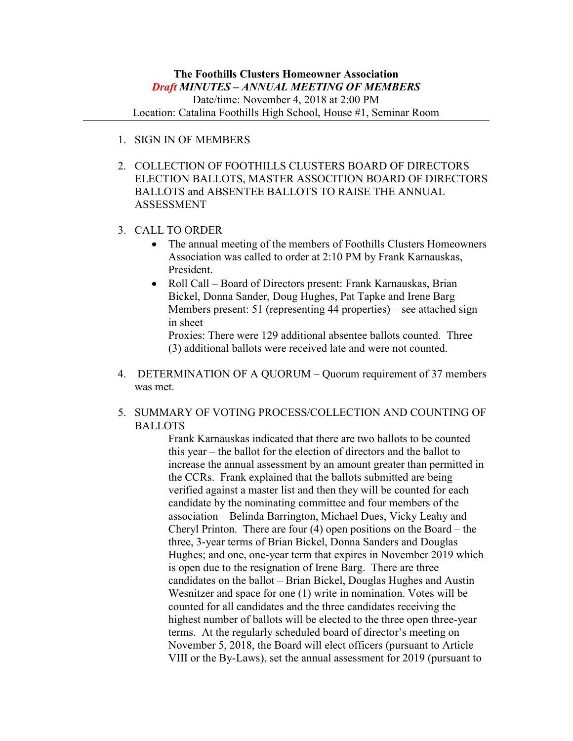- 1. SIGN IN OF MEMBERS
- 2. COLLECTION OF FOOTHILLS CLUSTERS BOARD OF DIRECTORS ELECTION BALLOTS, MASTER ASSOCITION BOARD OF DIRECTORS BALLOTS and ABSENTEE BALLOTS TO RAISE THE ANNUAL ASSESSMENT
- 3. CALL TO ORDER
	- The annual meeting of the members of Foothills Clusters Homeowners Association was called to order at 2:10 PM by Frank Karnauskas, President.
	- Roll Call Board of Directors present: Frank Karnauskas, Brian Bickel, Donna Sander, Doug Hughes, Pat Tapke and Irene Barg Members present: 51 (representing 44 properties) – see attached sign in sheet

Proxies: There were 129 additional absentee ballots counted. Three (3) additional ballots were received late and were not counted.

4. DETERMINATION OF A QUORUM – Quorum requirement of 37 members was met.

## 5. SUMMARY OF VOTING PROCESS/COLLECTION AND COUNTING OF BALLOTS

Frank Karnauskas indicated that there are two ballots to be counted this year – the ballot for the election of directors and the ballot to increase the annual assessment by an amount greater than permitted in the CCRs. Frank explained that the ballots submitted are being verified against a master list and then they will be counted for each candidate by the nominating committee and four members of the association – Belinda Barrington, Michael Dues, Vicky Leahy and Cheryl Printon. There are four (4) open positions on the Board – the three, 3-year terms of Brian Bickel, Donna Sanders and Douglas Hughes; and one, one-year term that expires in November 2019 which is open due to the resignation of Irene Barg. There are three candidates on the ballot – Brian Bickel, Douglas Hughes and Austin Wesnitzer and space for one (1) write in nomination. Votes will be counted for all candidates and the three candidates receiving the highest number of ballots will be elected to the three open three-year terms. At the regularly scheduled board of director's meeting on November 5, 2018, the Board will elect officers (pursuant to Article VIII or the By-Laws), set the annual assessment for 2019 (pursuant to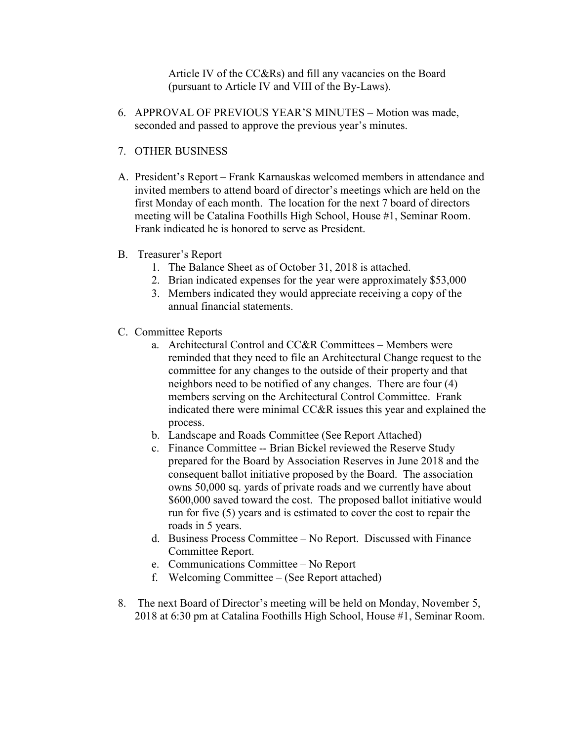Article IV of the CC&Rs) and fill any vacancies on the Board (pursuant to Article IV and VIII of the By-Laws).

- 6. APPROVAL OF PREVIOUS YEAR'S MINUTES Motion was made, seconded and passed to approve the previous year's minutes.
- 7. OTHER BUSINESS
- A. President's Report Frank Karnauskas welcomed members in attendance and invited members to attend board of director's meetings which are held on the first Monday of each month. The location for the next 7 board of directors meeting will be Catalina Foothills High School, House #1, Seminar Room. Frank indicated he is honored to serve as President.
- B. Treasurer's Report
	- 1. The Balance Sheet as of October 31, 2018 is attached.
	- 2. Brian indicated expenses for the year were approximately \$53,000
	- 3. Members indicated they would appreciate receiving a copy of the annual financial statements.
- C. Committee Reports
	- a. Architectural Control and CC&R Committees Members were reminded that they need to file an Architectural Change request to the committee for any changes to the outside of their property and that neighbors need to be notified of any changes. There are four (4) members serving on the Architectural Control Committee. Frank indicated there were minimal CC&R issues this year and explained the process.
	- b. Landscape and Roads Committee (See Report Attached)
	- c. Finance Committee -- Brian Bickel reviewed the Reserve Study prepared for the Board by Association Reserves in June 2018 and the consequent ballot initiative proposed by the Board. The association owns 50,000 sq. yards of private roads and we currently have about \$600,000 saved toward the cost. The proposed ballot initiative would run for five (5) years and is estimated to cover the cost to repair the roads in 5 years.
	- d. Business Process Committee No Report. Discussed with Finance Committee Report.
	- e. Communications Committee No Report
	- f. Welcoming Committee (See Report attached)
- 8. The next Board of Director's meeting will be held on Monday, November 5, 2018 at 6:30 pm at Catalina Foothills High School, House #1, Seminar Room.